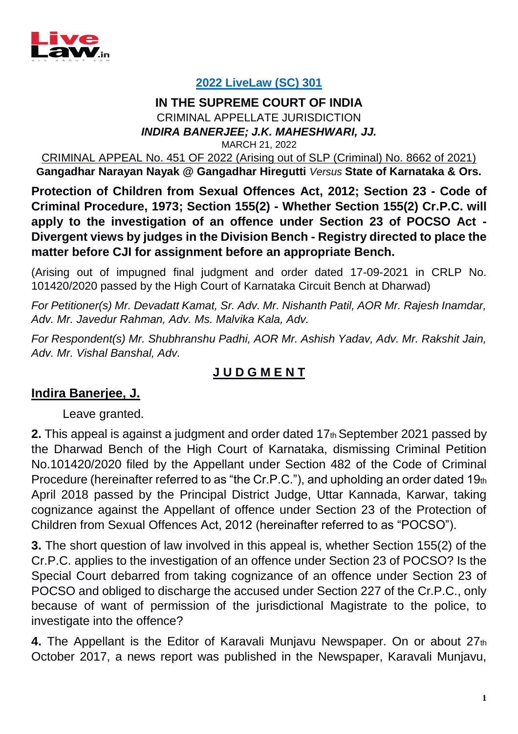

# **[2022 LiveLaw \(SC\) 301](https://www.livelaw.in/top-stories/pocso-section-23-section-1552-crpc-magistrates-permission-to-investigate-disclosure-of-victim-supreme-court-split-194626)**

#### **IN THE SUPREME COURT OF INDIA** CRIMINAL APPELLATE JURISDICTION *INDIRA BANERJEE; J.K. MAHESHWARI, JJ.*

MARCH 21, 2022

CRIMINAL APPEAL No. 451 OF 2022 (Arising out of SLP (Criminal) No. 8662 of 2021)

**Gangadhar Narayan Nayak @ Gangadhar Hiregutti** *Versus* **State of Karnataka & Ors.**

**Protection of Children from Sexual Offences Act, 2012; Section 23 - Code of Criminal Procedure, 1973; Section 155(2) - Whether Section 155(2) Cr.P.C. will apply to the investigation of an offence under Section 23 of POCSO Act - Divergent views by judges in the Division Bench - Registry directed to place the matter before CJI for assignment before an appropriate Bench.**

(Arising out of impugned final judgment and order dated 17-09-2021 in CRLP No. 101420/2020 passed by the High Court of Karnataka Circuit Bench at Dharwad)

*For Petitioner(s) Mr. Devadatt Kamat, Sr. Adv. Mr. Nishanth Patil, AOR Mr. Rajesh Inamdar, Adv. Mr. Javedur Rahman, Adv. Ms. Malvika Kala, Adv.* 

*For Respondent(s) Mr. Shubhranshu Padhi, AOR Mr. Ashish Yadav, Adv. Mr. Rakshit Jain, Adv. Mr. Vishal Banshal, Adv.*

# **J U D G M E N T**

# **Indira Banerjee, J.**

Leave granted.

**2.** This appeal is against a judgment and order dated 17th September 2021 passed by the Dharwad Bench of the High Court of Karnataka, dismissing Criminal Petition No.101420/2020 filed by the Appellant under Section 482 of the Code of Criminal Procedure (hereinafter referred to as "the Cr.P.C."), and upholding an order dated 19th April 2018 passed by the Principal District Judge, Uttar Kannada, Karwar, taking cognizance against the Appellant of offence under Section 23 of the Protection of Children from Sexual Offences Act, 2012 (hereinafter referred to as "POCSO").

**3.** The short question of law involved in this appeal is, whether Section 155(2) of the Cr.P.C. applies to the investigation of an offence under Section 23 of POCSO? Is the Special Court debarred from taking cognizance of an offence under Section 23 of POCSO and obliged to discharge the accused under Section 227 of the Cr.P.C., only because of want of permission of the jurisdictional Magistrate to the police, to investigate into the offence?

**4.** The Appellant is the Editor of Karavali Munjavu Newspaper. On or about 27th October 2017, a news report was published in the Newspaper, Karavali Munjavu,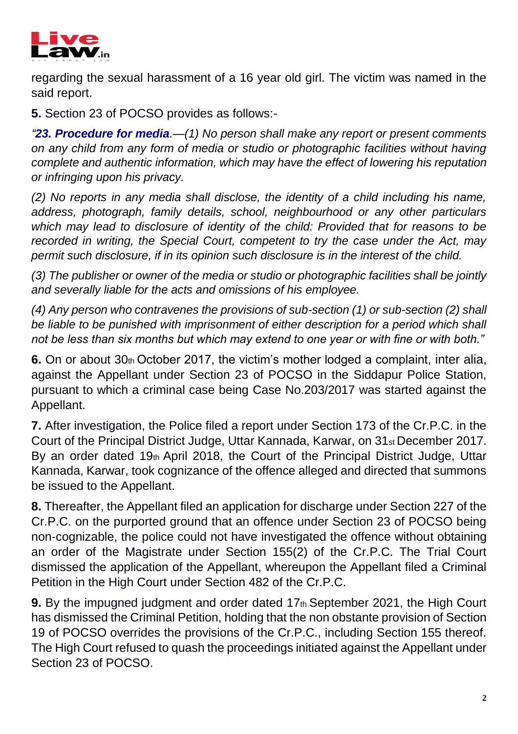

regarding the sexual harassment of a 16 year old girl. The victim was named in the said report.

**5.** Section 23 of POCSO provides as follows:-

*"23. Procedure for media.—(1) No person shall make any report or present comments on any child from any form of media or studio or photographic facilities without having complete and authentic information, which may have the effect of lowering his reputation or infringing upon his privacy.*

*(2) No reports in any media shall disclose, the identity of a child including his name, address, photograph, family details, school, neighbourhood or any other particulars which may lead to disclosure of identity of the child: Provided that for reasons to be recorded in writing, the Special Court, competent to try the case under the Act, may permit such disclosure, if in its opinion such disclosure is in the interest of the child.*

*(3) The publisher or owner of the media or studio or photographic facilities shall be jointly and severally liable for the acts and omissions of his employee.*

*(4) Any person who contravenes the provisions of sub-section (1) or sub-section (2) shall be liable to be punished with imprisonment of either description for a period which shall not be less than six months but which may extend to one year or with fine or with both."* 

**6.** On or about 30th October 2017, the victim's mother lodged a complaint, inter alia, against the Appellant under Section 23 of POCSO in the Siddapur Police Station, pursuant to which a criminal case being Case No.203/2017 was started against the Appellant.

**7.** After investigation, the Police filed a report under Section 173 of the Cr.P.C. in the Court of the Principal District Judge, Uttar Kannada, Karwar, on 31st December 2017. By an order dated 19th April 2018, the Court of the Principal District Judge, Uttar Kannada, Karwar, took cognizance of the offence alleged and directed that summons be issued to the Appellant.

**8.** Thereafter, the Appellant filed an application for discharge under Section 227 of the Cr.P.C. on the purported ground that an offence under Section 23 of POCSO being non-cognizable, the police could not have investigated the offence without obtaining an order of the Magistrate under Section 155(2) of the Cr.P.C. The Trial Court dismissed the application of the Appellant, whereupon the Appellant filed a Criminal Petition in the High Court under Section 482 of the Cr.P.C.

**9.** By the impugned judgment and order dated 17th September 2021, the High Court has dismissed the Criminal Petition, holding that the non obstante provision of Section 19 of POCSO overrides the provisions of the Cr.P.C., including Section 155 thereof. The High Court refused to quash the proceedings initiated against the Appellant under Section 23 of POCSO.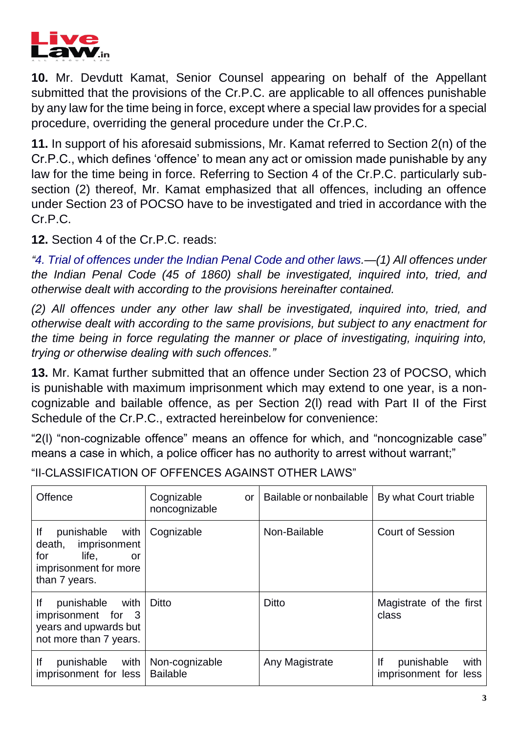

**10.** Mr. Devdutt Kamat, Senior Counsel appearing on behalf of the Appellant submitted that the provisions of the Cr.P.C. are applicable to all offences punishable by any law for the time being in force, except where a special law provides for a special procedure, overriding the general procedure under the Cr.P.C.

**11.** In support of his aforesaid submissions, Mr. Kamat referred to Section 2(n) of the Cr.P.C., which defines 'offence' to mean any act or omission made punishable by any law for the time being in force. Referring to Section 4 of the Cr.P.C. particularly subsection (2) thereof, Mr. Kamat emphasized that all offences, including an offence under Section 23 of POCSO have to be investigated and tried in accordance with the Cr.P.C.

**12.** Section 4 of the Cr.P.C. reads:

*"4. Trial of offences under the Indian Penal Code and other laws.—(1) All offences under the Indian Penal Code (45 of 1860) shall be investigated, inquired into, tried, and otherwise dealt with according to the provisions hereinafter contained.*

*(2) All offences under any other law shall be investigated, inquired into, tried, and otherwise dealt with according to the same provisions, but subject to any enactment for the time being in force regulating the manner or place of investigating, inquiring into, trying or otherwise dealing with such offences."* 

**13.** Mr. Kamat further submitted that an offence under Section 23 of POCSO, which is punishable with maximum imprisonment which may extend to one year, is a noncognizable and bailable offence, as per Section 2(l) read with Part II of the First Schedule of the Cr.P.C., extracted hereinbelow for convenience:

"2(l) "non-cognizable offence" means an offence for which, and "noncognizable case" means a case in which, a police officer has no authority to arrest without warrant;"

| <b>Offence</b>                                                                                                  | Cognizable<br>or<br>noncognizable | Bailable or nonbailable | By what Court triable                             |
|-----------------------------------------------------------------------------------------------------------------|-----------------------------------|-------------------------|---------------------------------------------------|
| lf<br>punishable<br>with<br>death, imprisonment<br>for<br>life,<br>or<br>imprisonment for more<br>than 7 years. | Cognizable                        | Non-Bailable            | <b>Court of Session</b>                           |
| lf<br>punishable<br>with   Ditto<br>imprisonment for 3<br>years and upwards but<br>not more than 7 years.       |                                   | Ditto                   | Magistrate of the first<br>class                  |
| lf<br>with<br>punishable<br>imprisonment for less                                                               | Non-cognizable<br><b>Bailable</b> | Any Magistrate          | lf<br>punishable<br>with<br>imprisonment for less |

"II-CLASSIFICATION OF OFFENCES AGAINST OTHER LAWS"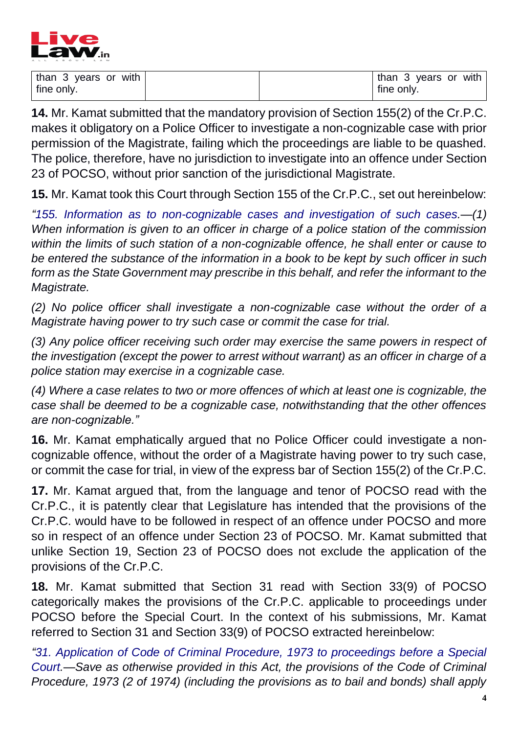

| than 3 years or with |  | than 3 years or with |
|----------------------|--|----------------------|
| fine only.           |  | fine only.           |

**14.** Mr. Kamat submitted that the mandatory provision of Section 155(2) of the Cr.P.C. makes it obligatory on a Police Officer to investigate a non-cognizable case with prior permission of the Magistrate, failing which the proceedings are liable to be quashed. The police, therefore, have no jurisdiction to investigate into an offence under Section 23 of POCSO, without prior sanction of the jurisdictional Magistrate.

**15.** Mr. Kamat took this Court through Section 155 of the Cr.P.C., set out hereinbelow:

*"155. Information as to non-cognizable cases and investigation of such cases.—(1) When information is given to an officer in charge of a police station of the commission within the limits of such station of a non-cognizable offence, he shall enter or cause to be entered the substance of the information in a book to be kept by such officer in such form as the State Government may prescribe in this behalf, and refer the informant to the Magistrate.*

*(2) No police officer shall investigate a non-cognizable case without the order of a Magistrate having power to try such case or commit the case for trial.*

*(3) Any police officer receiving such order may exercise the same powers in respect of the investigation (except the power to arrest without warrant) as an officer in charge of a police station may exercise in a cognizable case.*

*(4) Where a case relates to two or more offences of which at least one is cognizable, the case shall be deemed to be a cognizable case, notwithstanding that the other offences are non-cognizable."* 

**16.** Mr. Kamat emphatically argued that no Police Officer could investigate a noncognizable offence, without the order of a Magistrate having power to try such case, or commit the case for trial, in view of the express bar of Section 155(2) of the Cr.P.C.

**17.** Mr. Kamat argued that, from the language and tenor of POCSO read with the Cr.P.C., it is patently clear that Legislature has intended that the provisions of the Cr.P.C. would have to be followed in respect of an offence under POCSO and more so in respect of an offence under Section 23 of POCSO. Mr. Kamat submitted that unlike Section 19, Section 23 of POCSO does not exclude the application of the provisions of the Cr.P.C.

**18.** Mr. Kamat submitted that Section 31 read with Section 33(9) of POCSO categorically makes the provisions of the Cr.P.C. applicable to proceedings under POCSO before the Special Court. In the context of his submissions, Mr. Kamat referred to Section 31 and Section 33(9) of POCSO extracted hereinbelow:

*"31. Application of Code of Criminal Procedure, 1973 to proceedings before a Special Court.—Save as otherwise provided in this Act, the provisions of the Code of Criminal Procedure, 1973 (2 of 1974) (including the provisions as to bail and bonds) shall apply*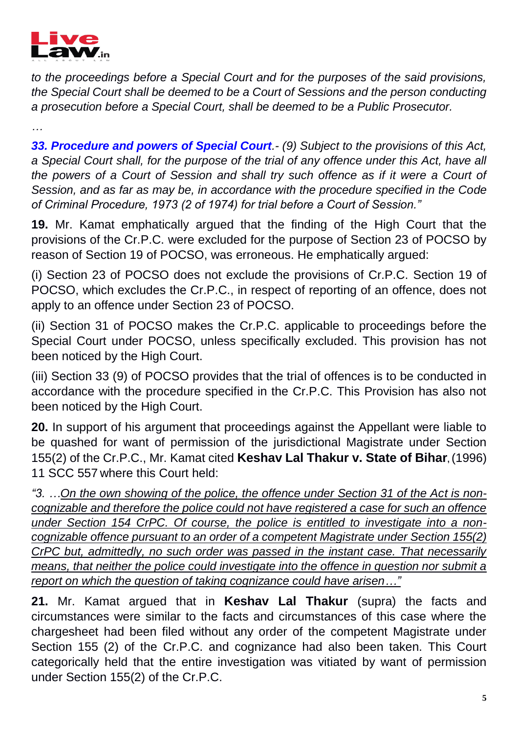

*…* 

*to the proceedings before a Special Court and for the purposes of the said provisions, the Special Court shall be deemed to be a Court of Sessions and the person conducting a prosecution before a Special Court, shall be deemed to be a Public Prosecutor.*

*33. Procedure and powers of Special Court.- (9) Subject to the provisions of this Act, a Special Court shall, for the purpose of the trial of any offence under this Act, have all the powers of a Court of Session and shall try such offence as if it were a Court of Session, and as far as may be, in accordance with the procedure specified in the Code of Criminal Procedure, 1973 (2 of 1974) for trial before a Court of Session."*

**19.** Mr. Kamat emphatically argued that the finding of the High Court that the provisions of the Cr.P.C. were excluded for the purpose of Section 23 of POCSO by reason of Section 19 of POCSO, was erroneous. He emphatically argued:

(i) Section 23 of POCSO does not exclude the provisions of Cr.P.C. Section 19 of POCSO, which excludes the Cr.P.C., in respect of reporting of an offence, does not apply to an offence under Section 23 of POCSO.

(ii) Section 31 of POCSO makes the Cr.P.C. applicable to proceedings before the Special Court under POCSO, unless specifically excluded. This provision has not been noticed by the High Court.

(iii) Section 33 (9) of POCSO provides that the trial of offences is to be conducted in accordance with the procedure specified in the Cr.P.C. This Provision has also not been noticed by the High Court.

**20.** In support of his argument that proceedings against the Appellant were liable to be quashed for want of permission of the jurisdictional Magistrate under Section 155(2) of the Cr.P.C., Mr. Kamat cited **Keshav Lal Thakur v. State of Bihar,** (1996) 11 SCC 557 where this Court held:

*"3. …On the own showing of the police, the offence under Section 31 of the Act is noncognizable and therefore the police could not have registered a case for such an offence under Section 154 CrPC. Of course, the police is entitled to investigate into a noncognizable offence pursuant to an order of a competent Magistrate under Section 155(2) CrPC but, admittedly, no such order was passed in the instant case. That necessarily means, that neither the police could investigate into the offence in question nor submit a report on which the question of taking cognizance could have arisen…"* 

**21.** Mr. Kamat argued that in **Keshav Lal Thakur** (supra) the facts and circumstances were similar to the facts and circumstances of this case where the chargesheet had been filed without any order of the competent Magistrate under Section 155 (2) of the Cr.P.C. and cognizance had also been taken. This Court categorically held that the entire investigation was vitiated by want of permission under Section 155(2) of the Cr.P.C.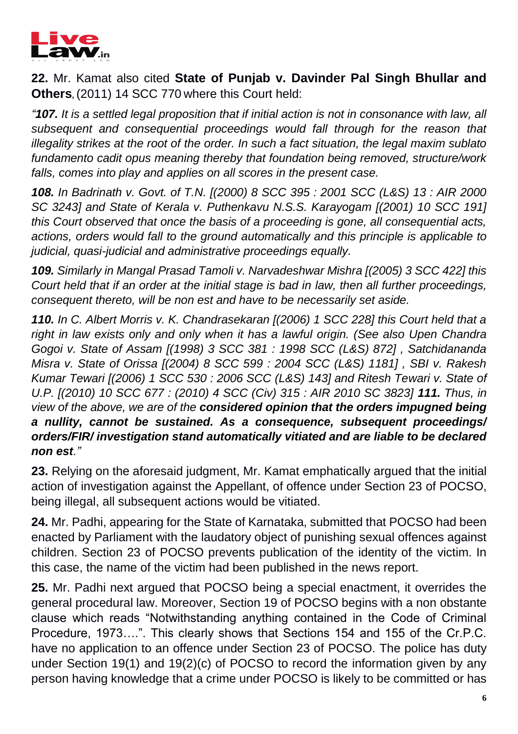

**22.** Mr. Kamat also cited **State of Punjab v. Davinder Pal Singh Bhullar and Others**, (2011) 14 SCC 770 where this Court held:

*"107. It is a settled legal proposition that if initial action is not in consonance with law, all subsequent and consequential proceedings would fall through for the reason that illegality strikes at the root of the order. In such a fact situation, the legal maxim sublato fundamento cadit opus meaning thereby that foundation being removed, structure/work falls, comes into play and applies on all scores in the present case.*

*108. In Badrinath v. Govt. of T.N. [(2000) 8 SCC 395 : 2001 SCC (L&S) 13 : AIR 2000 SC 3243] and State of Kerala v. Puthenkavu N.S.S. Karayogam [(2001) 10 SCC 191] this Court observed that once the basis of a proceeding is gone, all consequential acts, actions, orders would fall to the ground automatically and this principle is applicable to judicial, quasi-judicial and administrative proceedings equally.*

*109. Similarly in Mangal Prasad Tamoli v. Narvadeshwar Mishra [(2005) 3 SCC 422] this Court held that if an order at the initial stage is bad in law, then all further proceedings, consequent thereto, will be non est and have to be necessarily set aside.*

*110. In C. Albert Morris v. K. Chandrasekaran [(2006) 1 SCC 228] this Court held that a right in law exists only and only when it has a lawful origin. (See also Upen Chandra Gogoi v. State of Assam [(1998) 3 SCC 381 : 1998 SCC (L&S) 872] , Satchidananda Misra v. State of Orissa [(2004) 8 SCC 599 : 2004 SCC (L&S) 1181] , SBI v. Rakesh Kumar Tewari [(2006) 1 SCC 530 : 2006 SCC (L&S) 143] and Ritesh Tewari v. State of U.P. [(2010) 10 SCC 677 : (2010) 4 SCC (Civ) 315 : AIR 2010 SC 3823] 111. Thus, in view of the above, we are of the considered opinion that the orders impugned being a nullity, cannot be sustained. As a consequence, subsequent proceedings/ orders/FIR/ investigation stand automatically vitiated and are liable to be declared non est."*

**23.** Relying on the aforesaid judgment, Mr. Kamat emphatically argued that the initial action of investigation against the Appellant, of offence under Section 23 of POCSO, being illegal, all subsequent actions would be vitiated.

**24.** Mr. Padhi, appearing for the State of Karnataka, submitted that POCSO had been enacted by Parliament with the laudatory object of punishing sexual offences against children. Section 23 of POCSO prevents publication of the identity of the victim. In this case, the name of the victim had been published in the news report.

**25.** Mr. Padhi next argued that POCSO being a special enactment, it overrides the general procedural law. Moreover, Section 19 of POCSO begins with a non obstante clause which reads "Notwithstanding anything contained in the Code of Criminal Procedure, 1973….". This clearly shows that Sections 154 and 155 of the Cr.P.C. have no application to an offence under Section 23 of POCSO. The police has duty under Section 19(1) and 19(2)(c) of POCSO to record the information given by any person having knowledge that a crime under POCSO is likely to be committed or has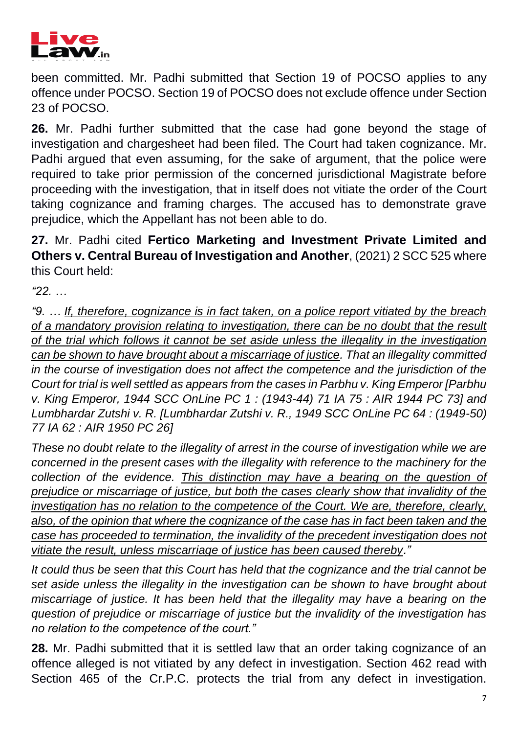

been committed. Mr. Padhi submitted that Section 19 of POCSO applies to any offence under POCSO. Section 19 of POCSO does not exclude offence under Section 23 of POCSO.

**26.** Mr. Padhi further submitted that the case had gone beyond the stage of investigation and chargesheet had been filed. The Court had taken cognizance. Mr. Padhi argued that even assuming, for the sake of argument, that the police were required to take prior permission of the concerned jurisdictional Magistrate before proceeding with the investigation, that in itself does not vitiate the order of the Court taking cognizance and framing charges. The accused has to demonstrate grave prejudice, which the Appellant has not been able to do.

**27.** Mr. Padhi cited **Fertico Marketing and Investment Private Limited and Others v. Central Bureau of Investigation and Another**, (2021) 2 SCC 525 where this Court held:

*"22. …* 

*"9. … If, therefore, cognizance is in fact taken, on a police report vitiated by the breach of a mandatory provision relating to investigation, there can be no doubt that the result of the trial which follows it cannot be set aside unless the illegality in the investigation can be shown to have brought about a miscarriage of justice. That an illegality committed in the course of investigation does not affect the competence and the jurisdiction of the Court for trial is well settled as appears from the cases in Parbhu v. King Emperor [Parbhu v. King Emperor, 1944 SCC OnLine PC 1 : (1943-44) 71 IA 75 : AIR 1944 PC 73] and Lumbhardar Zutshi v. R. [Lumbhardar Zutshi v. R., 1949 SCC OnLine PC 64 : (1949-50) 77 IA 62 : AIR 1950 PC 26]* 

*These no doubt relate to the illegality of arrest in the course of investigation while we are concerned in the present cases with the illegality with reference to the machinery for the*  collection of the evidence. This distinction may have a bearing on the question of *prejudice or miscarriage of justice, but both the cases clearly show that invalidity of the investigation has no relation to the competence of the Court. We are, therefore, clearly, also, of the opinion that where the cognizance of the case has in fact been taken and the case has proceeded to termination, the invalidity of the precedent investigation does not vitiate the result, unless miscarriage of justice has been caused thereby."* 

*It could thus be seen that this Court has held that the cognizance and the trial cannot be set aside unless the illegality in the investigation can be shown to have brought about miscarriage of justice. It has been held that the illegality may have a bearing on the question of prejudice or miscarriage of justice but the invalidity of the investigation has no relation to the competence of the court."*

**28.** Mr. Padhi submitted that it is settled law that an order taking cognizance of an offence alleged is not vitiated by any defect in investigation. Section 462 read with Section 465 of the Cr.P.C. protects the trial from any defect in investigation.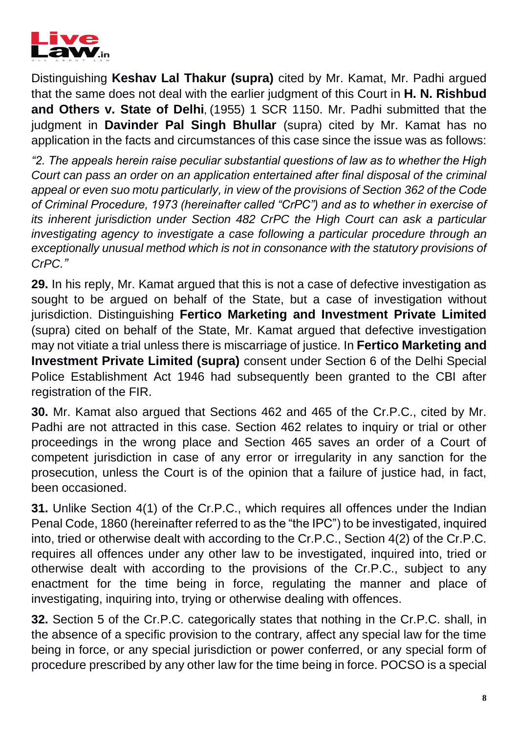

Distinguishing **Keshav Lal Thakur (supra)** cited by Mr. Kamat, Mr. Padhi argued that the same does not deal with the earlier judgment of this Court in **H. N. Rishbud and Others v. State of Delhi**, (1955) 1 SCR 1150. Mr. Padhi submitted that the judgment in **Davinder Pal Singh Bhullar** (supra) cited by Mr. Kamat has no application in the facts and circumstances of this case since the issue was as follows:

*"2. The appeals herein raise peculiar substantial questions of law as to whether the High Court can pass an order on an application entertained after final disposal of the criminal appeal or even suo motu particularly, in view of the provisions of Section 362 of the Code of Criminal Procedure, 1973 (hereinafter called "CrPC") and as to whether in exercise of its inherent jurisdiction under Section 482 CrPC the High Court can ask a particular investigating agency to investigate a case following a particular procedure through an exceptionally unusual method which is not in consonance with the statutory provisions of CrPC."* 

**29.** In his reply, Mr. Kamat argued that this is not a case of defective investigation as sought to be argued on behalf of the State, but a case of investigation without jurisdiction. Distinguishing **Fertico Marketing and Investment Private Limited**  (supra) cited on behalf of the State, Mr. Kamat argued that defective investigation may not vitiate a trial unless there is miscarriage of justice. In **Fertico Marketing and Investment Private Limited (supra)** consent under Section 6 of the Delhi Special Police Establishment Act 1946 had subsequently been granted to the CBI after registration of the FIR.

**30.** Mr. Kamat also argued that Sections 462 and 465 of the Cr.P.C., cited by Mr. Padhi are not attracted in this case. Section 462 relates to inquiry or trial or other proceedings in the wrong place and Section 465 saves an order of a Court of competent jurisdiction in case of any error or irregularity in any sanction for the prosecution, unless the Court is of the opinion that a failure of justice had, in fact, been occasioned.

**31.** Unlike Section 4(1) of the Cr.P.C., which requires all offences under the Indian Penal Code, 1860 (hereinafter referred to as the "the IPC") to be investigated, inquired into, tried or otherwise dealt with according to the Cr.P.C., Section 4(2) of the Cr.P.C. requires all offences under any other law to be investigated, inquired into, tried or otherwise dealt with according to the provisions of the Cr.P.C., subject to any enactment for the time being in force, regulating the manner and place of investigating, inquiring into, trying or otherwise dealing with offences.

**32.** Section 5 of the Cr.P.C. categorically states that nothing in the Cr.P.C. shall, in the absence of a specific provision to the contrary, affect any special law for the time being in force, or any special jurisdiction or power conferred, or any special form of procedure prescribed by any other law for the time being in force. POCSO is a special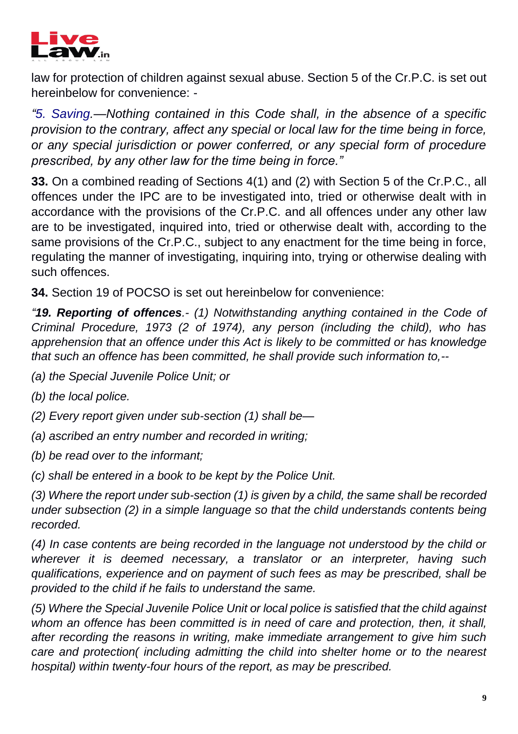

law for protection of children against sexual abuse. Section 5 of the Cr.P.C. is set out hereinbelow for convenience: -

*"5. Saving.—Nothing contained in this Code shall, in the absence of a specific provision to the contrary, affect any special or local law for the time being in force, or any special jurisdiction or power conferred, or any special form of procedure prescribed, by any other law for the time being in force."*

**33.** On a combined reading of Sections 4(1) and (2) with Section 5 of the Cr.P.C., all offences under the IPC are to be investigated into, tried or otherwise dealt with in accordance with the provisions of the Cr.P.C. and all offences under any other law are to be investigated, inquired into, tried or otherwise dealt with, according to the same provisions of the Cr.P.C., subject to any enactment for the time being in force, regulating the manner of investigating, inquiring into, trying or otherwise dealing with such offences.

**34.** Section 19 of POCSO is set out hereinbelow for convenience:

*"19. Reporting of offences.- (1) Notwithstanding anything contained in the Code of Criminal Procedure, 1973 (2 of 1974), any person (including the child), who has apprehension that an offence under this Act is likely to be committed or has knowledge that such an offence has been committed, he shall provide such information to,--*

*(a) the Special Juvenile Police Unit; or* 

*(b) the local police.*

*(2) Every report given under sub-section (1) shall be—*

*(a) ascribed an entry number and recorded in writing;* 

*(b) be read over to the informant;* 

*(c) shall be entered in a book to be kept by the Police Unit.*

*(3) Where the report under sub-section (1) is given by a child, the same shall be recorded under subsection (2) in a simple language so that the child understands contents being recorded.*

*(4) In case contents are being recorded in the language not understood by the child or wherever it is deemed necessary, a translator or an interpreter, having such qualifications, experience and on payment of such fees as may be prescribed, shall be provided to the child if he fails to understand the same.*

*(5) Where the Special Juvenile Police Unit or local police is satisfied that the child against whom an offence has been committed is in need of care and protection, then, it shall, after recording the reasons in writing, make immediate arrangement to give him such care and protection( including admitting the child into shelter home or to the nearest hospital) within twenty-four hours of the report, as may be prescribed.*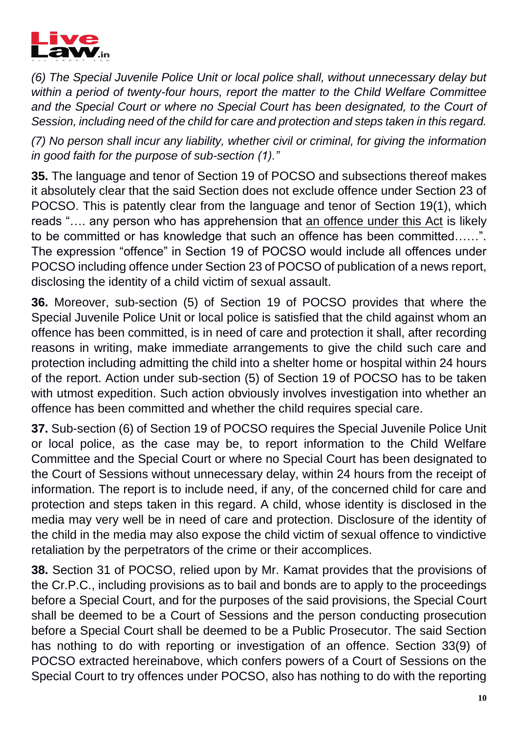

*(6) The Special Juvenile Police Unit or local police shall, without unnecessary delay but within a period of twenty-four hours, report the matter to the Child Welfare Committee*  and the Special Court or where no Special Court has been designated, to the Court of *Session, including need of the child for care and protection and steps taken in this regard.*

*(7) No person shall incur any liability, whether civil or criminal, for giving the information in good faith for the purpose of sub-section (1)."*

**35.** The language and tenor of Section 19 of POCSO and subsections thereof makes it absolutely clear that the said Section does not exclude offence under Section 23 of POCSO. This is patently clear from the language and tenor of Section 19(1), which reads ".... any person who has apprehension that an offence under this Act is likely to be committed or has knowledge that such an offence has been committed……". The expression "offence" in Section 19 of POCSO would include all offences under POCSO including offence under Section 23 of POCSO of publication of a news report, disclosing the identity of a child victim of sexual assault.

**36.** Moreover, sub-section (5) of Section 19 of POCSO provides that where the Special Juvenile Police Unit or local police is satisfied that the child against whom an offence has been committed, is in need of care and protection it shall, after recording reasons in writing, make immediate arrangements to give the child such care and protection including admitting the child into a shelter home or hospital within 24 hours of the report. Action under sub-section (5) of Section 19 of POCSO has to be taken with utmost expedition. Such action obviously involves investigation into whether an offence has been committed and whether the child requires special care.

**37.** Sub-section (6) of Section 19 of POCSO requires the Special Juvenile Police Unit or local police, as the case may be, to report information to the Child Welfare Committee and the Special Court or where no Special Court has been designated to the Court of Sessions without unnecessary delay, within 24 hours from the receipt of information. The report is to include need, if any, of the concerned child for care and protection and steps taken in this regard. A child, whose identity is disclosed in the media may very well be in need of care and protection. Disclosure of the identity of the child in the media may also expose the child victim of sexual offence to vindictive retaliation by the perpetrators of the crime or their accomplices.

**38.** Section 31 of POCSO, relied upon by Mr. Kamat provides that the provisions of the Cr.P.C., including provisions as to bail and bonds are to apply to the proceedings before a Special Court, and for the purposes of the said provisions, the Special Court shall be deemed to be a Court of Sessions and the person conducting prosecution before a Special Court shall be deemed to be a Public Prosecutor. The said Section has nothing to do with reporting or investigation of an offence. Section 33(9) of POCSO extracted hereinabove, which confers powers of a Court of Sessions on the Special Court to try offences under POCSO, also has nothing to do with the reporting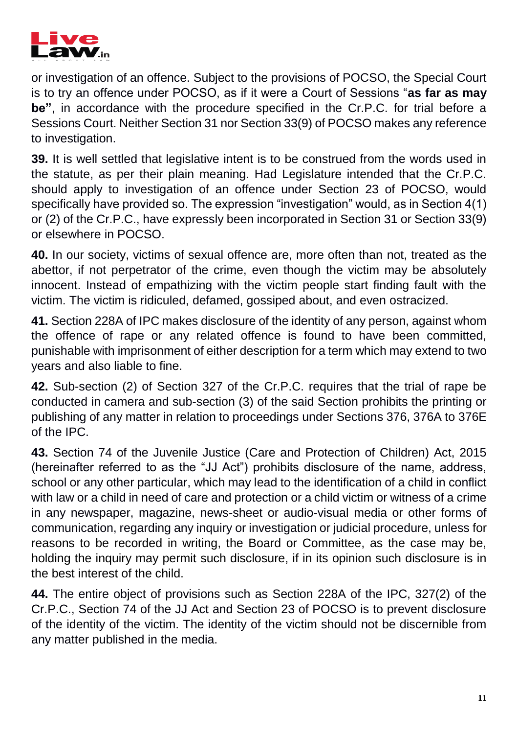

or investigation of an offence. Subject to the provisions of POCSO, the Special Court is to try an offence under POCSO, as if it were a Court of Sessions "**as far as may be"**, in accordance with the procedure specified in the Cr.P.C. for trial before a Sessions Court. Neither Section 31 nor Section 33(9) of POCSO makes any reference to investigation.

**39.** It is well settled that legislative intent is to be construed from the words used in the statute, as per their plain meaning. Had Legislature intended that the Cr.P.C. should apply to investigation of an offence under Section 23 of POCSO, would specifically have provided so. The expression "investigation" would, as in Section 4(1) or (2) of the Cr.P.C., have expressly been incorporated in Section 31 or Section 33(9) or elsewhere in POCSO.

**40.** In our society, victims of sexual offence are, more often than not, treated as the abettor, if not perpetrator of the crime, even though the victim may be absolutely innocent. Instead of empathizing with the victim people start finding fault with the victim. The victim is ridiculed, defamed, gossiped about, and even ostracized.

**41.** Section 228A of IPC makes disclosure of the identity of any person, against whom the offence of rape or any related offence is found to have been committed, punishable with imprisonment of either description for a term which may extend to two years and also liable to fine.

**42.** Sub-section (2) of Section 327 of the Cr.P.C. requires that the trial of rape be conducted in camera and sub-section (3) of the said Section prohibits the printing or publishing of any matter in relation to proceedings under Sections 376, 376A to 376E of the IPC.

**43.** Section 74 of the Juvenile Justice (Care and Protection of Children) Act, 2015 (hereinafter referred to as the "JJ Act") prohibits disclosure of the name, address, school or any other particular, which may lead to the identification of a child in conflict with law or a child in need of care and protection or a child victim or witness of a crime in any newspaper, magazine, news-sheet or audio-visual media or other forms of communication, regarding any inquiry or investigation or judicial procedure, unless for reasons to be recorded in writing, the Board or Committee, as the case may be, holding the inquiry may permit such disclosure, if in its opinion such disclosure is in the best interest of the child.

**44.** The entire object of provisions such as Section 228A of the IPC, 327(2) of the Cr.P.C., Section 74 of the JJ Act and Section 23 of POCSO is to prevent disclosure of the identity of the victim. The identity of the victim should not be discernible from any matter published in the media.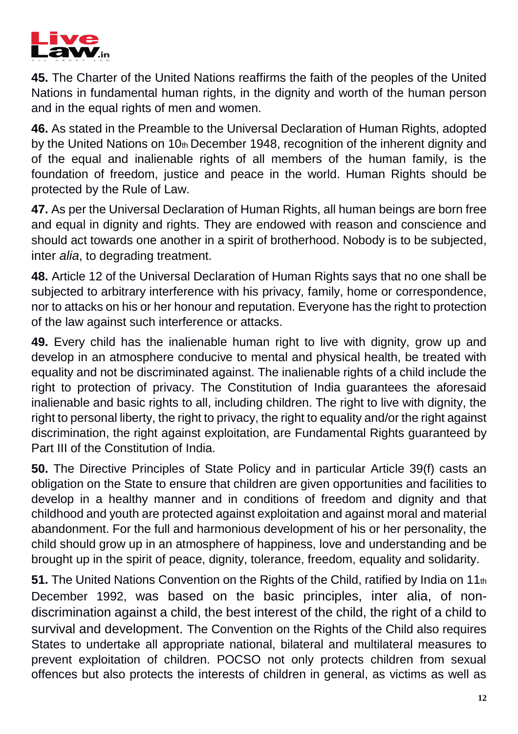

**45.** The Charter of the United Nations reaffirms the faith of the peoples of the United Nations in fundamental human rights, in the dignity and worth of the human person and in the equal rights of men and women.

**46.** As stated in the Preamble to the Universal Declaration of Human Rights, adopted by the United Nations on 10th December 1948, recognition of the inherent dignity and of the equal and inalienable rights of all members of the human family, is the foundation of freedom, justice and peace in the world. Human Rights should be protected by the Rule of Law.

**47.** As per the Universal Declaration of Human Rights, all human beings are born free and equal in dignity and rights. They are endowed with reason and conscience and should act towards one another in a spirit of brotherhood. Nobody is to be subjected, inter *alia*, to degrading treatment.

**48.** Article 12 of the Universal Declaration of Human Rights says that no one shall be subjected to arbitrary interference with his privacy, family, home or correspondence, nor to attacks on his or her honour and reputation. Everyone has the right to protection of the law against such interference or attacks.

**49.** Every child has the inalienable human right to live with dignity, grow up and develop in an atmosphere conducive to mental and physical health, be treated with equality and not be discriminated against. The inalienable rights of a child include the right to protection of privacy. The Constitution of India guarantees the aforesaid inalienable and basic rights to all, including children. The right to live with dignity, the right to personal liberty, the right to privacy, the right to equality and/or the right against discrimination, the right against exploitation, are Fundamental Rights guaranteed by Part III of the Constitution of India.

**50.** The Directive Principles of State Policy and in particular Article 39(f) casts an obligation on the State to ensure that children are given opportunities and facilities to develop in a healthy manner and in conditions of freedom and dignity and that childhood and youth are protected against exploitation and against moral and material abandonment. For the full and harmonious development of his or her personality, the child should grow up in an atmosphere of happiness, love and understanding and be brought up in the spirit of peace, dignity, tolerance, freedom, equality and solidarity.

**51.** The United Nations Convention on the Rights of the Child, ratified by India on 11th December 1992, was based on the basic principles, inter alia, of nondiscrimination against a child, the best interest of the child, the right of a child to survival and development. The Convention on the Rights of the Child also requires States to undertake all appropriate national, bilateral and multilateral measures to prevent exploitation of children. POCSO not only protects children from sexual offences but also protects the interests of children in general, as victims as well as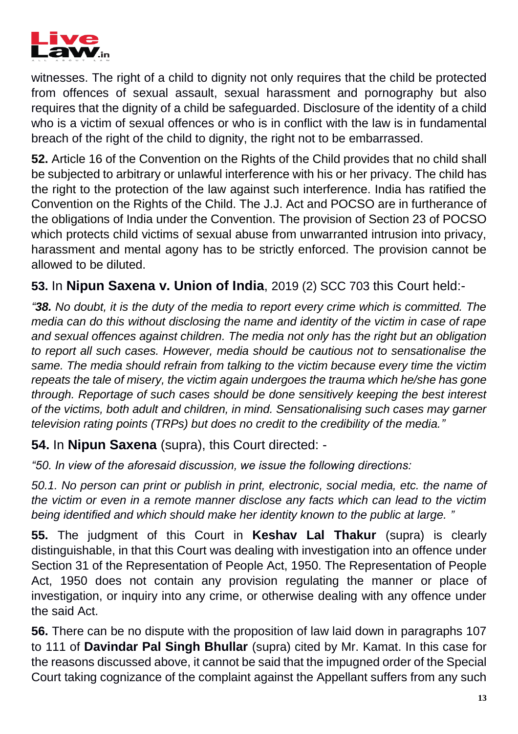

witnesses. The right of a child to dignity not only requires that the child be protected from offences of sexual assault, sexual harassment and pornography but also requires that the dignity of a child be safeguarded. Disclosure of the identity of a child who is a victim of sexual offences or who is in conflict with the law is in fundamental breach of the right of the child to dignity, the right not to be embarrassed.

**52.** Article 16 of the Convention on the Rights of the Child provides that no child shall be subjected to arbitrary or unlawful interference with his or her privacy. The child has the right to the protection of the law against such interference. India has ratified the Convention on the Rights of the Child. The J.J. Act and POCSO are in furtherance of the obligations of India under the Convention. The provision of Section 23 of POCSO which protects child victims of sexual abuse from unwarranted intrusion into privacy, harassment and mental agony has to be strictly enforced. The provision cannot be allowed to be diluted.

# **53.** In **Nipun Saxena v. Union of India**, 2019 (2) SCC 703 this Court held:-

*"38. No doubt, it is the duty of the media to report every crime which is committed. The media can do this without disclosing the name and identity of the victim in case of rape and sexual offences against children. The media not only has the right but an obligation to report all such cases. However, media should be cautious not to sensationalise the same. The media should refrain from talking to the victim because every time the victim repeats the tale of misery, the victim again undergoes the trauma which he/she has gone through. Reportage of such cases should be done sensitively keeping the best interest of the victims, both adult and children, in mind. Sensationalising such cases may garner television rating points (TRPs) but does no credit to the credibility of the media."*

## **54.** In **Nipun Saxena** (supra), this Court directed: -

*"50. In view of the aforesaid discussion, we issue the following directions:* 

*50.1. No person can print or publish in print, electronic, social media, etc. the name of the victim or even in a remote manner disclose any facts which can lead to the victim being identified and which should make her identity known to the public at large. "* 

**55.** The judgment of this Court in **Keshav Lal Thakur** (supra) is clearly distinguishable, in that this Court was dealing with investigation into an offence under Section 31 of the Representation of People Act, 1950. The Representation of People Act, 1950 does not contain any provision regulating the manner or place of investigation, or inquiry into any crime, or otherwise dealing with any offence under the said Act.

**56.** There can be no dispute with the proposition of law laid down in paragraphs 107 to 111 of **Davindar Pal Singh Bhullar** (supra) cited by Mr. Kamat. In this case for the reasons discussed above, it cannot be said that the impugned order of the Special Court taking cognizance of the complaint against the Appellant suffers from any such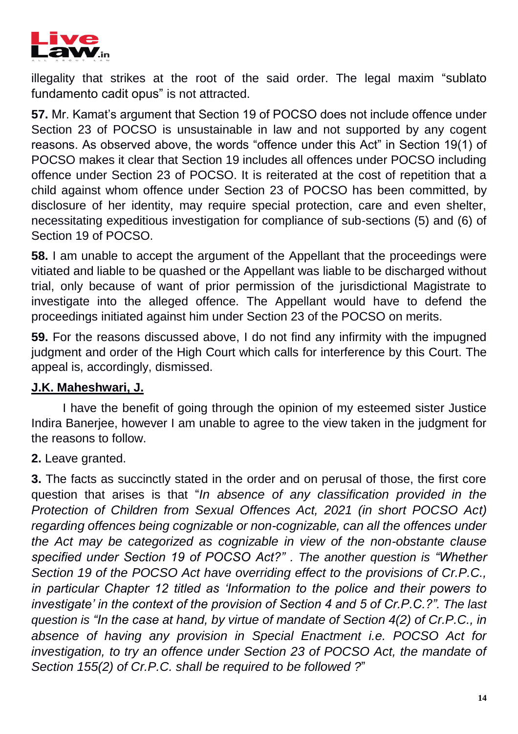

illegality that strikes at the root of the said order. The legal maxim "sublato fundamento cadit opus" is not attracted.

**57.** Mr. Kamat's argument that Section 19 of POCSO does not include offence under Section 23 of POCSO is unsustainable in law and not supported by any cogent reasons. As observed above, the words "offence under this Act" in Section 19(1) of POCSO makes it clear that Section 19 includes all offences under POCSO including offence under Section 23 of POCSO. It is reiterated at the cost of repetition that a child against whom offence under Section 23 of POCSO has been committed, by disclosure of her identity, may require special protection, care and even shelter, necessitating expeditious investigation for compliance of sub-sections (5) and (6) of Section 19 of POCSO.

**58.** I am unable to accept the argument of the Appellant that the proceedings were vitiated and liable to be quashed or the Appellant was liable to be discharged without trial, only because of want of prior permission of the jurisdictional Magistrate to investigate into the alleged offence. The Appellant would have to defend the proceedings initiated against him under Section 23 of the POCSO on merits.

**59.** For the reasons discussed above, I do not find any infirmity with the impugned judgment and order of the High Court which calls for interference by this Court. The appeal is, accordingly, dismissed.

### **J.K. Maheshwari, J.**

I have the benefit of going through the opinion of my esteemed sister Justice Indira Banerjee, however I am unable to agree to the view taken in the judgment for the reasons to follow.

**2.** Leave granted.

**3.** The facts as succinctly stated in the order and on perusal of those, the first core question that arises is that "*In absence of any classification provided in the Protection of Children from Sexual Offences Act, 2021 (in short POCSO Act) regarding offences being cognizable or non-cognizable, can all the offences under the Act may be categorized as cognizable in view of the non-obstante clause specified under Section 19 of POCSO Act?" . The another question is "Whether Section 19 of the POCSO Act have overriding effect to the provisions of Cr.P.C., in particular Chapter 12 titled as 'Information to the police and their powers to investigate' in the context of the provision of Section 4 and 5 of Cr.P.C.?". The last question is "In the case at hand, by virtue of mandate of Section 4(2) of Cr.P.C., in absence of having any provision in Special Enactment i.e. POCSO Act for investigation, to try an offence under Section 23 of POCSO Act, the mandate of Section 155(2) of Cr.P.C. shall be required to be followed ?*"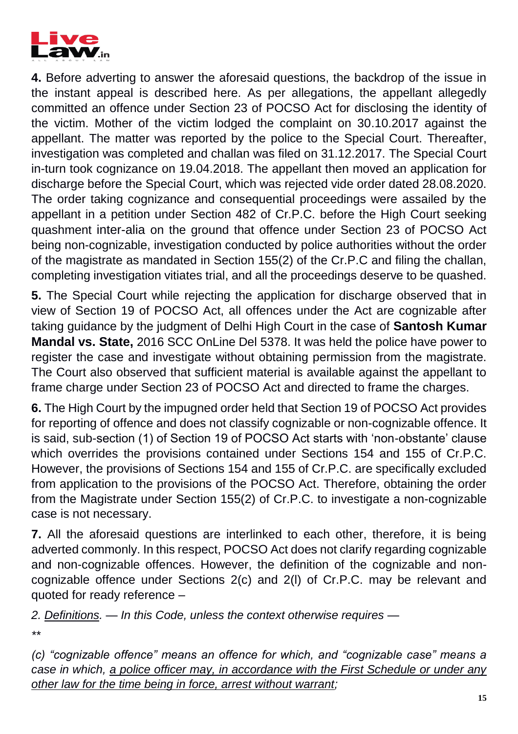

**4.** Before adverting to answer the aforesaid questions, the backdrop of the issue in the instant appeal is described here. As per allegations, the appellant allegedly committed an offence under Section 23 of POCSO Act for disclosing the identity of the victim. Mother of the victim lodged the complaint on 30.10.2017 against the appellant. The matter was reported by the police to the Special Court. Thereafter, investigation was completed and challan was filed on 31.12.2017. The Special Court in-turn took cognizance on 19.04.2018. The appellant then moved an application for discharge before the Special Court, which was rejected vide order dated 28.08.2020. The order taking cognizance and consequential proceedings were assailed by the appellant in a petition under Section 482 of Cr.P.C. before the High Court seeking quashment inter-alia on the ground that offence under Section 23 of POCSO Act being non-cognizable, investigation conducted by police authorities without the order of the magistrate as mandated in Section 155(2) of the Cr.P.C and filing the challan, completing investigation vitiates trial, and all the proceedings deserve to be quashed.

**5.** The Special Court while rejecting the application for discharge observed that in view of Section 19 of POCSO Act, all offences under the Act are cognizable after taking guidance by the judgment of Delhi High Court in the case of **Santosh Kumar Mandal vs. State,** 2016 SCC OnLine Del 5378. It was held the police have power to register the case and investigate without obtaining permission from the magistrate. The Court also observed that sufficient material is available against the appellant to frame charge under Section 23 of POCSO Act and directed to frame the charges.

**6.** The High Court by the impugned order held that Section 19 of POCSO Act provides for reporting of offence and does not classify cognizable or non-cognizable offence. It is said, sub-section (1) of Section 19 of POCSO Act starts with 'non-obstante' clause which overrides the provisions contained under Sections 154 and 155 of Cr.P.C. However, the provisions of Sections 154 and 155 of Cr.P.C. are specifically excluded from application to the provisions of the POCSO Act. Therefore, obtaining the order from the Magistrate under Section 155(2) of Cr.P.C. to investigate a non-cognizable case is not necessary.

**7.** All the aforesaid questions are interlinked to each other, therefore, it is being adverted commonly. In this respect, POCSO Act does not clarify regarding cognizable and non-cognizable offences. However, the definition of the cognizable and noncognizable offence under Sections 2(c) and 2(l) of Cr.P.C. may be relevant and quoted for ready reference –

*2. Definitions. — In this Code, unless the context otherwise requires —*

*\*\** 

*(c) "cognizable offence" means an offence for which, and "cognizable case" means a case in which, a police officer may, in accordance with the First Schedule or under any other law for the time being in force, arrest without warrant;*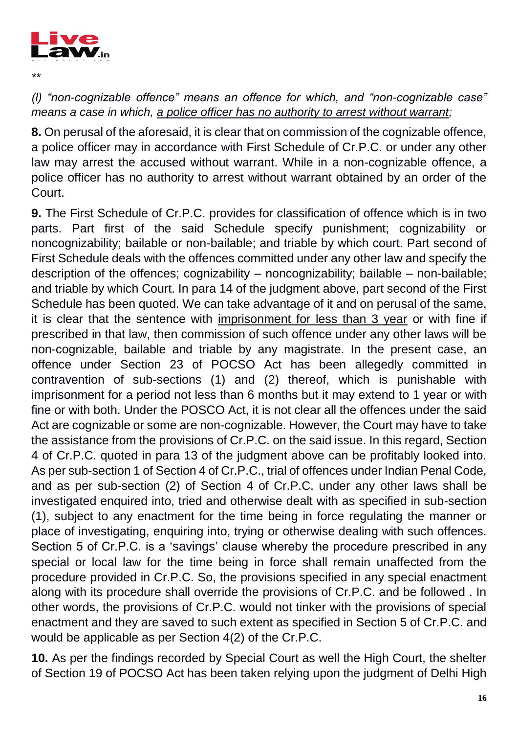

*\*\** 

*(l) "non-cognizable offence" means an offence for which, and "non-cognizable case" means a case in which, a police officer has no authority to arrest without warrant;* 

**8.** On perusal of the aforesaid, it is clear that on commission of the cognizable offence, a police officer may in accordance with First Schedule of Cr.P.C. or under any other law may arrest the accused without warrant. While in a non-cognizable offence, a police officer has no authority to arrest without warrant obtained by an order of the Court.

**9.** The First Schedule of Cr.P.C. provides for classification of offence which is in two parts. Part first of the said Schedule specify punishment; cognizability or noncognizability; bailable or non-bailable; and triable by which court. Part second of First Schedule deals with the offences committed under any other law and specify the description of the offences; cognizability – noncognizability; bailable – non-bailable; and triable by which Court. In para 14 of the judgment above, part second of the First Schedule has been quoted. We can take advantage of it and on perusal of the same, it is clear that the sentence with imprisonment for less than 3 year or with fine if prescribed in that law, then commission of such offence under any other laws will be non-cognizable, bailable and triable by any magistrate. In the present case, an offence under Section 23 of POCSO Act has been allegedly committed in contravention of sub-sections (1) and (2) thereof, which is punishable with imprisonment for a period not less than 6 months but it may extend to 1 year or with fine or with both. Under the POSCO Act, it is not clear all the offences under the said Act are cognizable or some are non-cognizable. However, the Court may have to take the assistance from the provisions of Cr.P.C. on the said issue. In this regard, Section 4 of Cr.P.C. quoted in para 13 of the judgment above can be profitably looked into. As per sub-section 1 of Section 4 of Cr.P.C., trial of offences under Indian Penal Code, and as per sub-section (2) of Section 4 of Cr.P.C. under any other laws shall be investigated enquired into, tried and otherwise dealt with as specified in sub-section (1), subject to any enactment for the time being in force regulating the manner or place of investigating, enquiring into, trying or otherwise dealing with such offences. Section 5 of Cr.P.C. is a 'savings' clause whereby the procedure prescribed in any special or local law for the time being in force shall remain unaffected from the procedure provided in Cr.P.C. So, the provisions specified in any special enactment along with its procedure shall override the provisions of Cr.P.C. and be followed . In other words, the provisions of Cr.P.C. would not tinker with the provisions of special enactment and they are saved to such extent as specified in Section 5 of Cr.P.C. and would be applicable as per Section 4(2) of the Cr.P.C.

**10.** As per the findings recorded by Special Court as well the High Court, the shelter of Section 19 of POCSO Act has been taken relying upon the judgment of Delhi High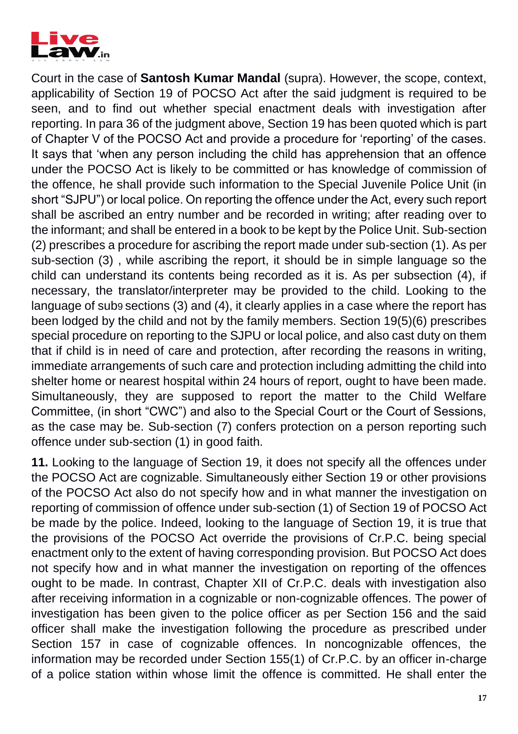

Court in the case of **Santosh Kumar Mandal** (supra). However, the scope, context, applicability of Section 19 of POCSO Act after the said judgment is required to be seen, and to find out whether special enactment deals with investigation after reporting. In para 36 of the judgment above, Section 19 has been quoted which is part of Chapter V of the POCSO Act and provide a procedure for 'reporting' of the cases. It says that 'when any person including the child has apprehension that an offence under the POCSO Act is likely to be committed or has knowledge of commission of the offence, he shall provide such information to the Special Juvenile Police Unit (in short "SJPU") or local police. On reporting the offence under the Act, every such report shall be ascribed an entry number and be recorded in writing; after reading over to the informant; and shall be entered in a book to be kept by the Police Unit. Sub-section (2) prescribes a procedure for ascribing the report made under sub-section (1). As per sub-section (3) , while ascribing the report, it should be in simple language so the child can understand its contents being recorded as it is. As per subsection (4), if necessary, the translator/interpreter may be provided to the child. Looking to the language of sub9 sections (3) and (4), it clearly applies in a case where the report has been lodged by the child and not by the family members. Section 19(5)(6) prescribes special procedure on reporting to the SJPU or local police, and also cast duty on them that if child is in need of care and protection, after recording the reasons in writing, immediate arrangements of such care and protection including admitting the child into shelter home or nearest hospital within 24 hours of report, ought to have been made. Simultaneously, they are supposed to report the matter to the Child Welfare Committee, (in short "CWC") and also to the Special Court or the Court of Sessions, as the case may be. Sub-section (7) confers protection on a person reporting such offence under sub-section (1) in good faith.

**11.** Looking to the language of Section 19, it does not specify all the offences under the POCSO Act are cognizable. Simultaneously either Section 19 or other provisions of the POCSO Act also do not specify how and in what manner the investigation on reporting of commission of offence under sub-section (1) of Section 19 of POCSO Act be made by the police. Indeed, looking to the language of Section 19, it is true that the provisions of the POCSO Act override the provisions of Cr.P.C. being special enactment only to the extent of having corresponding provision. But POCSO Act does not specify how and in what manner the investigation on reporting of the offences ought to be made. In contrast, Chapter XII of Cr.P.C. deals with investigation also after receiving information in a cognizable or non-cognizable offences. The power of investigation has been given to the police officer as per Section 156 and the said officer shall make the investigation following the procedure as prescribed under Section 157 in case of cognizable offences. In noncognizable offences, the information may be recorded under Section 155(1) of Cr.P.C. by an officer in-charge of a police station within whose limit the offence is committed. He shall enter the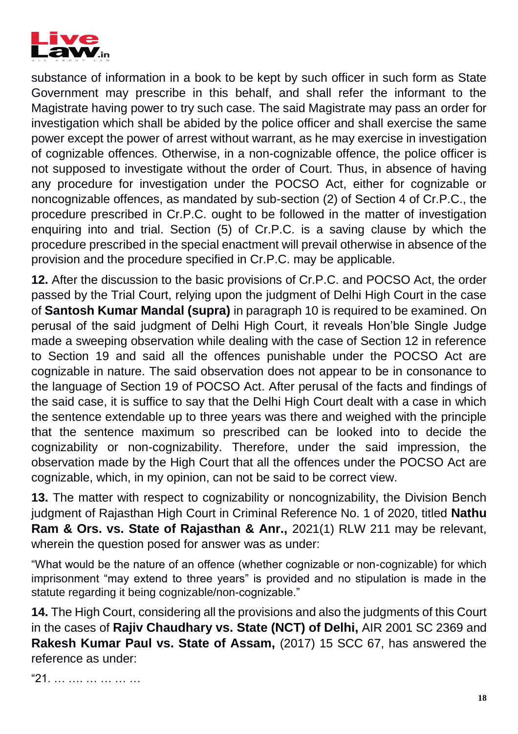

substance of information in a book to be kept by such officer in such form as State Government may prescribe in this behalf, and shall refer the informant to the Magistrate having power to try such case. The said Magistrate may pass an order for investigation which shall be abided by the police officer and shall exercise the same power except the power of arrest without warrant, as he may exercise in investigation of cognizable offences. Otherwise, in a non-cognizable offence, the police officer is not supposed to investigate without the order of Court. Thus, in absence of having any procedure for investigation under the POCSO Act, either for cognizable or noncognizable offences, as mandated by sub-section (2) of Section 4 of Cr.P.C., the procedure prescribed in Cr.P.C. ought to be followed in the matter of investigation enquiring into and trial. Section (5) of Cr.P.C. is a saving clause by which the procedure prescribed in the special enactment will prevail otherwise in absence of the provision and the procedure specified in Cr.P.C. may be applicable.

**12.** After the discussion to the basic provisions of Cr.P.C. and POCSO Act, the order passed by the Trial Court, relying upon the judgment of Delhi High Court in the case of **Santosh Kumar Mandal (supra)** in paragraph 10 is required to be examined. On perusal of the said judgment of Delhi High Court, it reveals Hon'ble Single Judge made a sweeping observation while dealing with the case of Section 12 in reference to Section 19 and said all the offences punishable under the POCSO Act are cognizable in nature. The said observation does not appear to be in consonance to the language of Section 19 of POCSO Act. After perusal of the facts and findings of the said case, it is suffice to say that the Delhi High Court dealt with a case in which the sentence extendable up to three years was there and weighed with the principle that the sentence maximum so prescribed can be looked into to decide the cognizability or non-cognizability. Therefore, under the said impression, the observation made by the High Court that all the offences under the POCSO Act are cognizable, which, in my opinion, can not be said to be correct view.

**13.** The matter with respect to cognizability or noncognizability, the Division Bench judgment of Rajasthan High Court in Criminal Reference No. 1 of 2020, titled **Nathu Ram & Ors. vs. State of Rajasthan & Anr.,** 2021(1) RLW 211 may be relevant, wherein the question posed for answer was as under:

"What would be the nature of an offence (whether cognizable or non-cognizable) for which imprisonment "may extend to three years" is provided and no stipulation is made in the statute regarding it being cognizable/non-cognizable."

**14.** The High Court, considering all the provisions and also the judgments of this Court in the cases of **Rajiv Chaudhary vs. State (NCT) of Delhi,** AIR 2001 SC 2369 and **Rakesh Kumar Paul vs. State of Assam,** (2017) 15 SCC 67, has answered the reference as under:

"21. … …. … … … …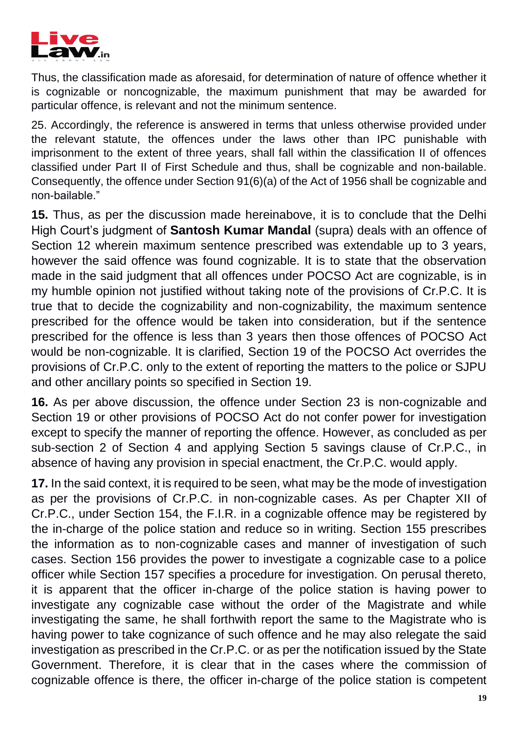

Thus, the classification made as aforesaid, for determination of nature of offence whether it is cognizable or noncognizable, the maximum punishment that may be awarded for particular offence, is relevant and not the minimum sentence.

25. Accordingly, the reference is answered in terms that unless otherwise provided under the relevant statute, the offences under the laws other than IPC punishable with imprisonment to the extent of three years, shall fall within the classification II of offences classified under Part II of First Schedule and thus, shall be cognizable and non-bailable. Consequently, the offence under Section 91(6)(a) of the Act of 1956 shall be cognizable and non-bailable."

**15.** Thus, as per the discussion made hereinabove, it is to conclude that the Delhi High Court's judgment of **Santosh Kumar Mandal** (supra) deals with an offence of Section 12 wherein maximum sentence prescribed was extendable up to 3 years, however the said offence was found cognizable. It is to state that the observation made in the said judgment that all offences under POCSO Act are cognizable, is in my humble opinion not justified without taking note of the provisions of Cr.P.C. It is true that to decide the cognizability and non-cognizability, the maximum sentence prescribed for the offence would be taken into consideration, but if the sentence prescribed for the offence is less than 3 years then those offences of POCSO Act would be non-cognizable. It is clarified, Section 19 of the POCSO Act overrides the provisions of Cr.P.C. only to the extent of reporting the matters to the police or SJPU and other ancillary points so specified in Section 19.

**16.** As per above discussion, the offence under Section 23 is non-cognizable and Section 19 or other provisions of POCSO Act do not confer power for investigation except to specify the manner of reporting the offence. However, as concluded as per sub-section 2 of Section 4 and applying Section 5 savings clause of Cr.P.C., in absence of having any provision in special enactment, the Cr.P.C. would apply.

**17.** In the said context, it is required to be seen, what may be the mode of investigation as per the provisions of Cr.P.C. in non-cognizable cases. As per Chapter XII of Cr.P.C., under Section 154, the F.I.R. in a cognizable offence may be registered by the in-charge of the police station and reduce so in writing. Section 155 prescribes the information as to non-cognizable cases and manner of investigation of such cases. Section 156 provides the power to investigate a cognizable case to a police officer while Section 157 specifies a procedure for investigation. On perusal thereto, it is apparent that the officer in-charge of the police station is having power to investigate any cognizable case without the order of the Magistrate and while investigating the same, he shall forthwith report the same to the Magistrate who is having power to take cognizance of such offence and he may also relegate the said investigation as prescribed in the Cr.P.C. or as per the notification issued by the State Government. Therefore, it is clear that in the cases where the commission of cognizable offence is there, the officer in-charge of the police station is competent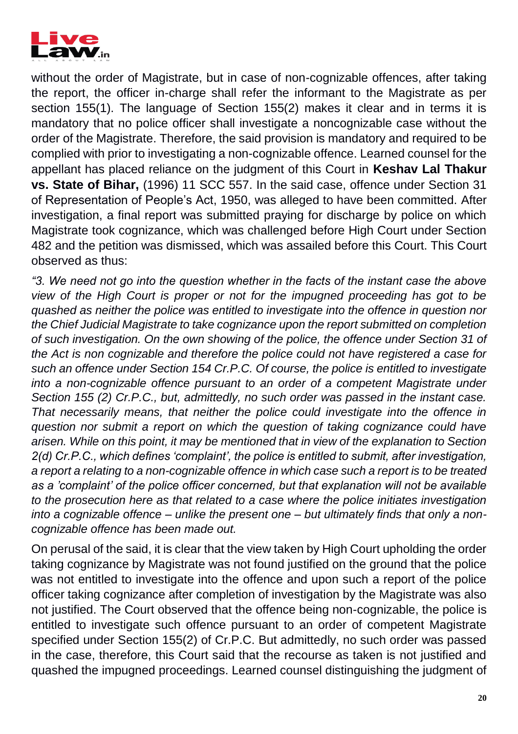

without the order of Magistrate, but in case of non-cognizable offences, after taking the report, the officer in-charge shall refer the informant to the Magistrate as per section 155(1). The language of Section 155(2) makes it clear and in terms it is mandatory that no police officer shall investigate a noncognizable case without the order of the Magistrate. Therefore, the said provision is mandatory and required to be complied with prior to investigating a non-cognizable offence. Learned counsel for the appellant has placed reliance on the judgment of this Court in **Keshav Lal Thakur vs. State of Bihar,** (1996) 11 SCC 557. In the said case, offence under Section 31 of Representation of People's Act, 1950, was alleged to have been committed. After investigation, a final report was submitted praying for discharge by police on which Magistrate took cognizance, which was challenged before High Court under Section 482 and the petition was dismissed, which was assailed before this Court. This Court observed as thus:

*"3. We need not go into the question whether in the facts of the instant case the above view of the High Court is proper or not for the impugned proceeding has got to be quashed as neither the police was entitled to investigate into the offence in question nor the Chief Judicial Magistrate to take cognizance upon the report submitted on completion of such investigation. On the own showing of the police, the offence under Section 31 of the Act is non cognizable and therefore the police could not have registered a case for such an offence under Section 154 Cr.P.C. Of course, the police is entitled to investigate into a non-cognizable offence pursuant to an order of a competent Magistrate under Section 155 (2) Cr.P.C., but, admittedly, no such order was passed in the instant case. That necessarily means, that neither the police could investigate into the offence in question nor submit a report on which the question of taking cognizance could have arisen. While on this point, it may be mentioned that in view of the explanation to Section 2(d) Cr.P.C., which defines 'complaint', the police is entitled to submit, after investigation, a report a relating to a non-cognizable offence in which case such a report is to be treated as a 'complaint' of the police officer concerned, but that explanation will not be available to the prosecution here as that related to a case where the police initiates investigation into a cognizable offence – unlike the present one – but ultimately finds that only a noncognizable offence has been made out.*

On perusal of the said, it is clear that the view taken by High Court upholding the order taking cognizance by Magistrate was not found justified on the ground that the police was not entitled to investigate into the offence and upon such a report of the police officer taking cognizance after completion of investigation by the Magistrate was also not justified. The Court observed that the offence being non-cognizable, the police is entitled to investigate such offence pursuant to an order of competent Magistrate specified under Section 155(2) of Cr.P.C. But admittedly, no such order was passed in the case, therefore, this Court said that the recourse as taken is not justified and quashed the impugned proceedings. Learned counsel distinguishing the judgment of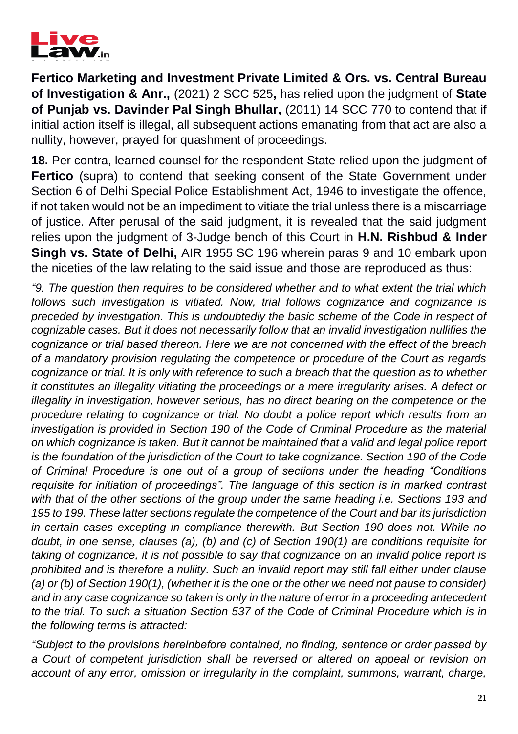

**Fertico Marketing and Investment Private Limited & Ors. vs. Central Bureau of Investigation & Anr.,** (2021) 2 SCC 525**,** has relied upon the judgment of **State of Punjab vs. Davinder Pal Singh Bhullar,** (2011) 14 SCC 770 to contend that if initial action itself is illegal, all subsequent actions emanating from that act are also a nullity, however, prayed for quashment of proceedings.

**18.** Per contra, learned counsel for the respondent State relied upon the judgment of **Fertico** (supra) to contend that seeking consent of the State Government under Section 6 of Delhi Special Police Establishment Act, 1946 to investigate the offence, if not taken would not be an impediment to vitiate the trial unless there is a miscarriage of justice. After perusal of the said judgment, it is revealed that the said judgment relies upon the judgment of 3-Judge bench of this Court in **H.N. Rishbud & Inder Singh vs. State of Delhi,** AIR 1955 SC 196 wherein paras 9 and 10 embark upon the niceties of the law relating to the said issue and those are reproduced as thus:

*"9. The question then requires to be considered whether and to what extent the trial which follows such investigation is vitiated. Now, trial follows cognizance and cognizance is preceded by investigation. This is undoubtedly the basic scheme of the Code in respect of cognizable cases. But it does not necessarily follow that an invalid investigation nullifies the cognizance or trial based thereon. Here we are not concerned with the effect of the breach of a mandatory provision regulating the competence or procedure of the Court as regards cognizance or trial. It is only with reference to such a breach that the question as to whether it constitutes an illegality vitiating the proceedings or a mere irregularity arises. A defect or illegality in investigation, however serious, has no direct bearing on the competence or the procedure relating to cognizance or trial. No doubt a police report which results from an investigation is provided in Section 190 of the Code of Criminal Procedure as the material on which cognizance is taken. But it cannot be maintained that a valid and legal police report is the foundation of the jurisdiction of the Court to take cognizance. Section 190 of the Code of Criminal Procedure is one out of a group of sections under the heading "Conditions requisite for initiation of proceedings". The language of this section is in marked contrast with that of the other sections of the group under the same heading i.e. Sections 193 and 195 to 199. These latter sections regulate the competence of the Court and bar its jurisdiction in certain cases excepting in compliance therewith. But Section 190 does not. While no doubt, in one sense, clauses (a), (b) and (c) of Section 190(1) are conditions requisite for taking of cognizance, it is not possible to say that cognizance on an invalid police report is prohibited and is therefore a nullity. Such an invalid report may still fall either under clause (a) or (b) of Section 190(1), (whether it is the one or the other we need not pause to consider) and in any case cognizance so taken is only in the nature of error in a proceeding antecedent to the trial. To such a situation Section 537 of the Code of Criminal Procedure which is in the following terms is attracted:* 

*"Subject to the provisions hereinbefore contained, no finding, sentence or order passed by a Court of competent jurisdiction shall be reversed or altered on appeal or revision on account of any error, omission or irregularity in the complaint, summons, warrant, charge,*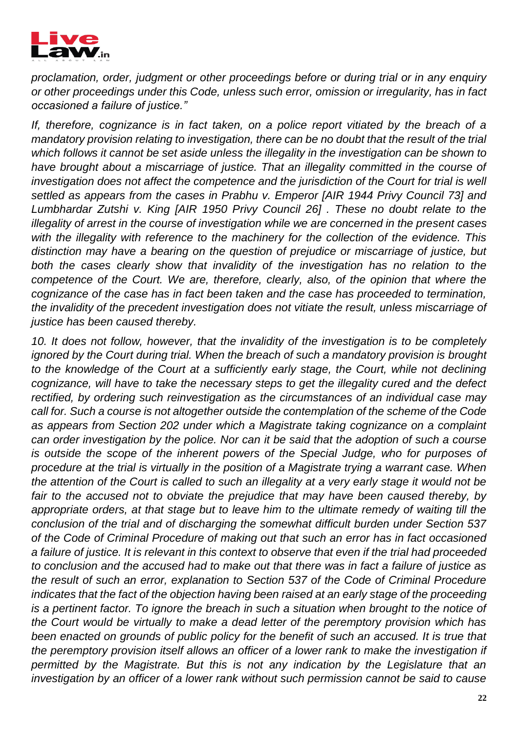

*proclamation, order, judgment or other proceedings before or during trial or in any enquiry or other proceedings under this Code, unless such error, omission or irregularity, has in fact occasioned a failure of justice."* 

*If, therefore, cognizance is in fact taken, on a police report vitiated by the breach of a mandatory provision relating to investigation, there can be no doubt that the result of the trial which follows it cannot be set aside unless the illegality in the investigation can be shown to have brought about a miscarriage of justice. That an illegality committed in the course of investigation does not affect the competence and the jurisdiction of the Court for trial is well settled as appears from the cases in Prabhu v. Emperor [AIR 1944 Privy Council 73] and Lumbhardar Zutshi v. King [AIR 1950 Privy Council 26] . These no doubt relate to the illegality of arrest in the course of investigation while we are concerned in the present cases with the illegality with reference to the machinery for the collection of the evidence. This distinction may have a bearing on the question of prejudice or miscarriage of justice, but both the cases clearly show that invalidity of the investigation has no relation to the competence of the Court. We are, therefore, clearly, also, of the opinion that where the cognizance of the case has in fact been taken and the case has proceeded to termination, the invalidity of the precedent investigation does not vitiate the result, unless miscarriage of justice has been caused thereby.*

*10. It does not follow, however, that the invalidity of the investigation is to be completely ignored by the Court during trial. When the breach of such a mandatory provision is brought* to the knowledge of the Court at a sufficiently early stage, the Court, while not declining *cognizance, will have to take the necessary steps to get the illegality cured and the defect rectified, by ordering such reinvestigation as the circumstances of an individual case may call for. Such a course is not altogether outside the contemplation of the scheme of the Code as appears from Section 202 under which a Magistrate taking cognizance on a complaint can order investigation by the police. Nor can it be said that the adoption of such a course is outside the scope of the inherent powers of the Special Judge, who for purposes of procedure at the trial is virtually in the position of a Magistrate trying a warrant case. When the attention of the Court is called to such an illegality at a very early stage it would not be*  fair to the accused not to obviate the prejudice that may have been caused thereby, by *appropriate orders, at that stage but to leave him to the ultimate remedy of waiting till the conclusion of the trial and of discharging the somewhat difficult burden under Section 537 of the Code of Criminal Procedure of making out that such an error has in fact occasioned a failure of justice. It is relevant in this context to observe that even if the trial had proceeded to conclusion and the accused had to make out that there was in fact a failure of justice as the result of such an error, explanation to Section 537 of the Code of Criminal Procedure indicates that the fact of the objection having been raised at an early stage of the proceeding is a pertinent factor. To ignore the breach in such a situation when brought to the notice of the Court would be virtually to make a dead letter of the peremptory provision which has been enacted on grounds of public policy for the benefit of such an accused. It is true that the peremptory provision itself allows an officer of a lower rank to make the investigation if permitted by the Magistrate. But this is not any indication by the Legislature that an investigation by an officer of a lower rank without such permission cannot be said to cause*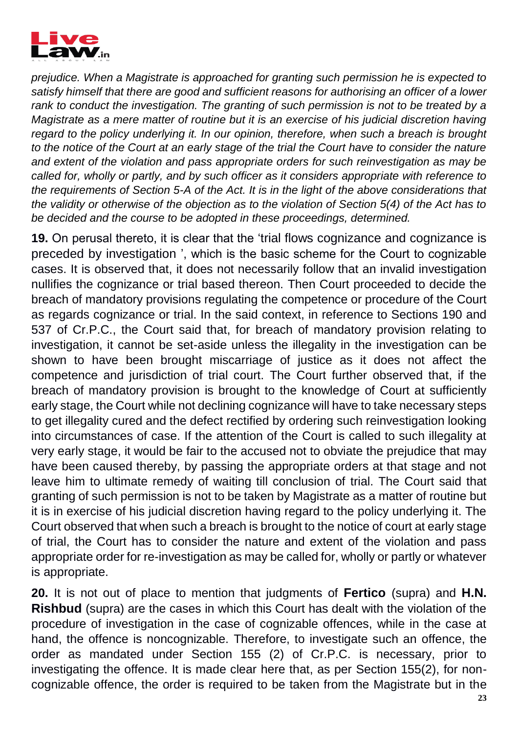

*prejudice. When a Magistrate is approached for granting such permission he is expected to satisfy himself that there are good and sufficient reasons for authorising an officer of a lower rank to conduct the investigation. The granting of such permission is not to be treated by a Magistrate as a mere matter of routine but it is an exercise of his judicial discretion having regard to the policy underlying it. In our opinion, therefore, when such a breach is brought to the notice of the Court at an early stage of the trial the Court have to consider the nature and extent of the violation and pass appropriate orders for such reinvestigation as may be called for, wholly or partly, and by such officer as it considers appropriate with reference to the requirements of Section 5-A of the Act. It is in the light of the above considerations that the validity or otherwise of the objection as to the violation of Section 5(4) of the Act has to be decided and the course to be adopted in these proceedings, determined.*

**19.** On perusal thereto, it is clear that the 'trial flows cognizance and cognizance is preceded by investigation ', which is the basic scheme for the Court to cognizable cases. It is observed that, it does not necessarily follow that an invalid investigation nullifies the cognizance or trial based thereon. Then Court proceeded to decide the breach of mandatory provisions regulating the competence or procedure of the Court as regards cognizance or trial. In the said context, in reference to Sections 190 and 537 of Cr.P.C., the Court said that, for breach of mandatory provision relating to investigation, it cannot be set-aside unless the illegality in the investigation can be shown to have been brought miscarriage of justice as it does not affect the competence and jurisdiction of trial court. The Court further observed that, if the breach of mandatory provision is brought to the knowledge of Court at sufficiently early stage, the Court while not declining cognizance will have to take necessary steps to get illegality cured and the defect rectified by ordering such reinvestigation looking into circumstances of case. If the attention of the Court is called to such illegality at very early stage, it would be fair to the accused not to obviate the prejudice that may have been caused thereby, by passing the appropriate orders at that stage and not leave him to ultimate remedy of waiting till conclusion of trial. The Court said that granting of such permission is not to be taken by Magistrate as a matter of routine but it is in exercise of his judicial discretion having regard to the policy underlying it. The Court observed that when such a breach is brought to the notice of court at early stage of trial, the Court has to consider the nature and extent of the violation and pass appropriate order for re-investigation as may be called for, wholly or partly or whatever is appropriate.

**20.** It is not out of place to mention that judgments of **Fertico** (supra) and **H.N. Rishbud** (supra) are the cases in which this Court has dealt with the violation of the procedure of investigation in the case of cognizable offences, while in the case at hand, the offence is noncognizable. Therefore, to investigate such an offence, the order as mandated under Section 155 (2) of Cr.P.C. is necessary, prior to investigating the offence. It is made clear here that, as per Section 155(2), for noncognizable offence, the order is required to be taken from the Magistrate but in the